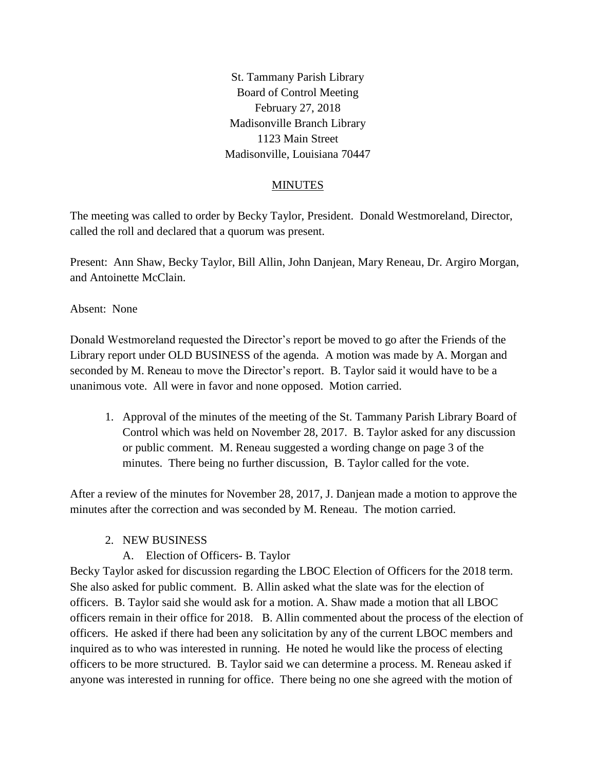St. Tammany Parish Library Board of Control Meeting February 27, 2018 Madisonville Branch Library 1123 Main Street Madisonville, Louisiana 70447

## MINUTES

The meeting was called to order by Becky Taylor, President. Donald Westmoreland, Director, called the roll and declared that a quorum was present.

Present: Ann Shaw, Becky Taylor, Bill Allin, John Danjean, Mary Reneau, Dr. Argiro Morgan, and Antoinette McClain.

Absent: None

Donald Westmoreland requested the Director's report be moved to go after the Friends of the Library report under OLD BUSINESS of the agenda. A motion was made by A. Morgan and seconded by M. Reneau to move the Director's report. B. Taylor said it would have to be a unanimous vote. All were in favor and none opposed. Motion carried.

1. Approval of the minutes of the meeting of the St. Tammany Parish Library Board of Control which was held on November 28, 2017. B. Taylor asked for any discussion or public comment. M. Reneau suggested a wording change on page 3 of the minutes. There being no further discussion, B. Taylor called for the vote.

After a review of the minutes for November 28, 2017, J. Danjean made a motion to approve the minutes after the correction and was seconded by M. Reneau. The motion carried.

#### 2. NEW BUSINESS

A. Election of Officers- B. Taylor

Becky Taylor asked for discussion regarding the LBOC Election of Officers for the 2018 term. She also asked for public comment. B. Allin asked what the slate was for the election of officers. B. Taylor said she would ask for a motion. A. Shaw made a motion that all LBOC officers remain in their office for 2018. B. Allin commented about the process of the election of officers. He asked if there had been any solicitation by any of the current LBOC members and inquired as to who was interested in running. He noted he would like the process of electing officers to be more structured. B. Taylor said we can determine a process. M. Reneau asked if anyone was interested in running for office. There being no one she agreed with the motion of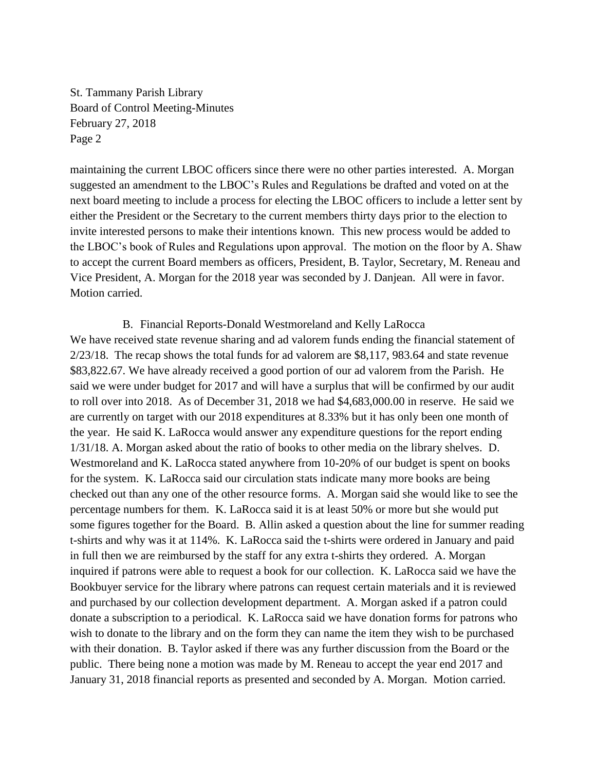maintaining the current LBOC officers since there were no other parties interested. A. Morgan suggested an amendment to the LBOC's Rules and Regulations be drafted and voted on at the next board meeting to include a process for electing the LBOC officers to include a letter sent by either the President or the Secretary to the current members thirty days prior to the election to invite interested persons to make their intentions known. This new process would be added to the LBOC's book of Rules and Regulations upon approval. The motion on the floor by A. Shaw to accept the current Board members as officers, President, B. Taylor, Secretary, M. Reneau and Vice President, A. Morgan for the 2018 year was seconded by J. Danjean. All were in favor. Motion carried.

B. Financial Reports-Donald Westmoreland and Kelly LaRocca We have received state revenue sharing and ad valorem funds ending the financial statement of 2/23/18. The recap shows the total funds for ad valorem are \$8,117, 983.64 and state revenue \$83,822.67. We have already received a good portion of our ad valorem from the Parish. He said we were under budget for 2017 and will have a surplus that will be confirmed by our audit to roll over into 2018. As of December 31, 2018 we had \$4,683,000.00 in reserve. He said we are currently on target with our 2018 expenditures at 8.33% but it has only been one month of the year. He said K. LaRocca would answer any expenditure questions for the report ending 1/31/18. A. Morgan asked about the ratio of books to other media on the library shelves. D. Westmoreland and K. LaRocca stated anywhere from 10-20% of our budget is spent on books for the system. K. LaRocca said our circulation stats indicate many more books are being checked out than any one of the other resource forms. A. Morgan said she would like to see the percentage numbers for them. K. LaRocca said it is at least 50% or more but she would put some figures together for the Board. B. Allin asked a question about the line for summer reading t-shirts and why was it at 114%. K. LaRocca said the t-shirts were ordered in January and paid in full then we are reimbursed by the staff for any extra t-shirts they ordered. A. Morgan inquired if patrons were able to request a book for our collection. K. LaRocca said we have the Bookbuyer service for the library where patrons can request certain materials and it is reviewed and purchased by our collection development department. A. Morgan asked if a patron could donate a subscription to a periodical. K. LaRocca said we have donation forms for patrons who wish to donate to the library and on the form they can name the item they wish to be purchased with their donation. B. Taylor asked if there was any further discussion from the Board or the public. There being none a motion was made by M. Reneau to accept the year end 2017 and January 31, 2018 financial reports as presented and seconded by A. Morgan. Motion carried.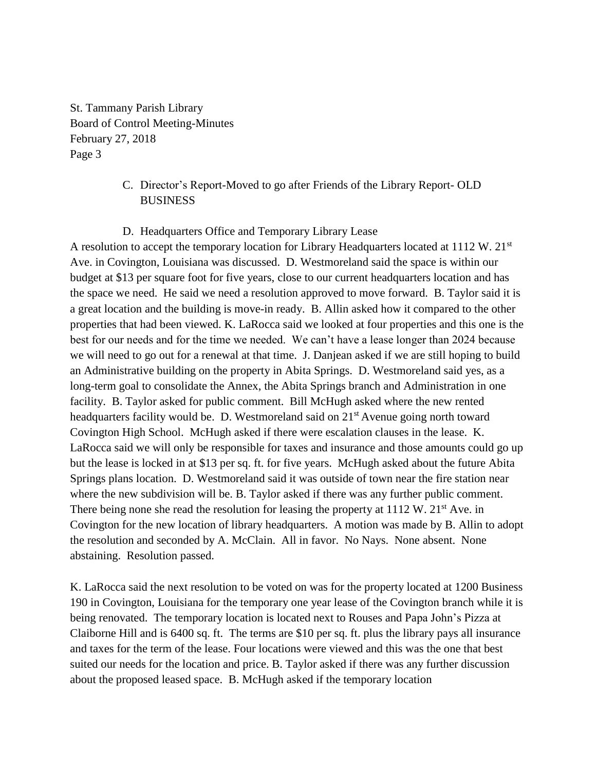# C. Director's Report-Moved to go after Friends of the Library Report- OLD **BUSINESS**

## D. Headquarters Office and Temporary Library Lease

A resolution to accept the temporary location for Library Headquarters located at  $1112 \text{ W}$ .  $21^{\text{st}}$ Ave. in Covington, Louisiana was discussed. D. Westmoreland said the space is within our budget at \$13 per square foot for five years, close to our current headquarters location and has the space we need. He said we need a resolution approved to move forward. B. Taylor said it is a great location and the building is move-in ready. B. Allin asked how it compared to the other properties that had been viewed. K. LaRocca said we looked at four properties and this one is the best for our needs and for the time we needed. We can't have a lease longer than 2024 because we will need to go out for a renewal at that time. J. Danjean asked if we are still hoping to build an Administrative building on the property in Abita Springs. D. Westmoreland said yes, as a long-term goal to consolidate the Annex, the Abita Springs branch and Administration in one facility. B. Taylor asked for public comment. Bill McHugh asked where the new rented headquarters facility would be. D. Westmoreland said on 21<sup>st</sup> Avenue going north toward Covington High School. McHugh asked if there were escalation clauses in the lease. K. LaRocca said we will only be responsible for taxes and insurance and those amounts could go up but the lease is locked in at \$13 per sq. ft. for five years. McHugh asked about the future Abita Springs plans location. D. Westmoreland said it was outside of town near the fire station near where the new subdivision will be. B. Taylor asked if there was any further public comment. There being none she read the resolution for leasing the property at  $1112 \text{ W}$ .  $21^{\text{st}}$  Ave. in Covington for the new location of library headquarters. A motion was made by B. Allin to adopt the resolution and seconded by A. McClain. All in favor. No Nays. None absent. None abstaining. Resolution passed.

K. LaRocca said the next resolution to be voted on was for the property located at 1200 Business 190 in Covington, Louisiana for the temporary one year lease of the Covington branch while it is being renovated. The temporary location is located next to Rouses and Papa John's Pizza at Claiborne Hill and is 6400 sq. ft. The terms are \$10 per sq. ft. plus the library pays all insurance and taxes for the term of the lease. Four locations were viewed and this was the one that best suited our needs for the location and price. B. Taylor asked if there was any further discussion about the proposed leased space. B. McHugh asked if the temporary location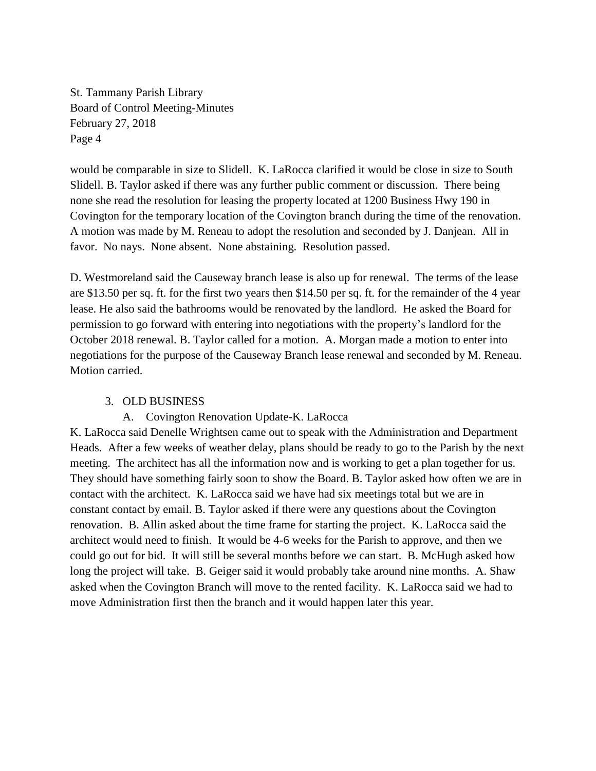would be comparable in size to Slidell. K. LaRocca clarified it would be close in size to South Slidell. B. Taylor asked if there was any further public comment or discussion. There being none she read the resolution for leasing the property located at 1200 Business Hwy 190 in Covington for the temporary location of the Covington branch during the time of the renovation. A motion was made by M. Reneau to adopt the resolution and seconded by J. Danjean. All in favor. No nays. None absent. None abstaining. Resolution passed.

D. Westmoreland said the Causeway branch lease is also up for renewal. The terms of the lease are \$13.50 per sq. ft. for the first two years then \$14.50 per sq. ft. for the remainder of the 4 year lease. He also said the bathrooms would be renovated by the landlord. He asked the Board for permission to go forward with entering into negotiations with the property's landlord for the October 2018 renewal. B. Taylor called for a motion. A. Morgan made a motion to enter into negotiations for the purpose of the Causeway Branch lease renewal and seconded by M. Reneau. Motion carried.

## 3. OLD BUSINESS

#### A. Covington Renovation Update-K. LaRocca

K. LaRocca said Denelle Wrightsen came out to speak with the Administration and Department Heads. After a few weeks of weather delay, plans should be ready to go to the Parish by the next meeting. The architect has all the information now and is working to get a plan together for us. They should have something fairly soon to show the Board. B. Taylor asked how often we are in contact with the architect. K. LaRocca said we have had six meetings total but we are in constant contact by email. B. Taylor asked if there were any questions about the Covington renovation. B. Allin asked about the time frame for starting the project. K. LaRocca said the architect would need to finish. It would be 4-6 weeks for the Parish to approve, and then we could go out for bid. It will still be several months before we can start. B. McHugh asked how long the project will take. B. Geiger said it would probably take around nine months. A. Shaw asked when the Covington Branch will move to the rented facility. K. LaRocca said we had to move Administration first then the branch and it would happen later this year.